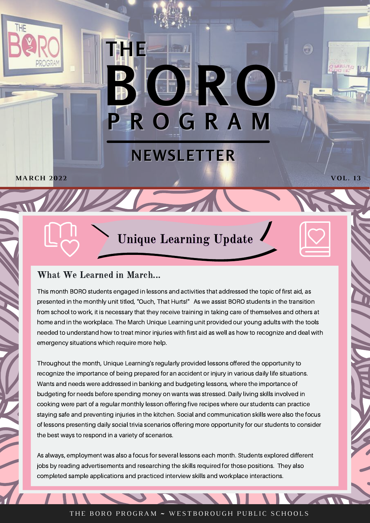# **NEWSLETTER**

**THE**

**P R O G R A M**

**B O R O**

**UB** 

**The Communication of the Communication** 

**MARCH 202 2 VOL. 13**

Unique Learning Update

### What We Learned in March...

This month BORO students engaged in lessons and activities that addressed the topic of first aid, as presented in the monthly unit titled, "Ouch, That Hurts!" As we assist BORO students in the transition from school to work, it is necessary that they receive training in taking care of themselves and others at home and in the workplace. The March Unique Learning unit provided our young adults with the tools needed to understand how to treat minor injuries with first aid as well as how to recognize and deal with emergency situations which require more help.

Throughout the month, Unique Learning's regularly provided lessons offered the opportunity to recognize the importance of being prepared for an accident or injury in various daily life situations. Wants and needs were addressed in banking and budgeting lessons, where the importance of budgeting for needs before spending money on wants was stressed. Daily living skills involved in cooking were part of a regular monthly lesson offering five recipes where our students can practice staying safe and preventing injuries in the kitchen. Social and communication skills were also the focus of lessons presenting daily social trivia scenarios offering more opportunity for our students to consider the best ways to respond in a variety of scenarios.

As always, employment was also a focus for several lessons each month. Students explored different jobs by reading advertisements and researching the skills required for those positions. They also completed sample applications and practiced interview skills and workplace interactions.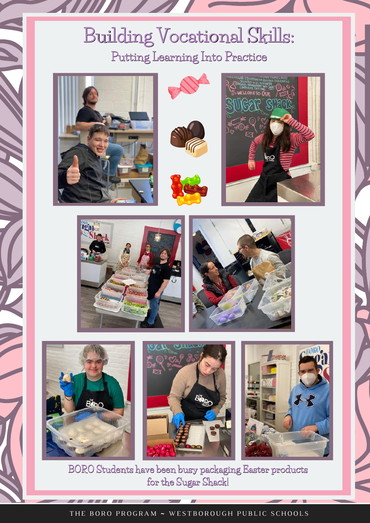## **Building Vocational Skills: Putting Learning Into Practice**



















**BORO Students have been busy packaging Easter products for the Sugar Shack!**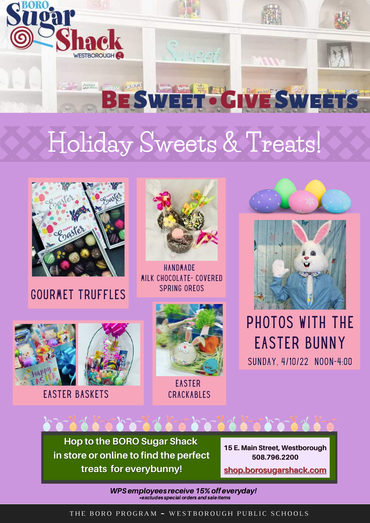

# **Holiday Sweets & Treats!**



gourmet Truffles



**HANDMADE** Milk Chocolate- Covered Spring Oreos





Easter Baskets



**EASTER CRACKABLES** 

SUNDAY, 4/10/22 NOON-4:00 Photos with the Easter Bunny

**Hop to the BORO Sugar Shack in store or online to find the perfect treats for everybunny!**

えくえ こんショス えっこん

**15 E. Main Street, Westborough 508.796.2200**

**[shop.borosugarshack.com](https://shop.borosugarshack.com/)**

WPS employees receive 15% off everyday!  $\overline{\phantom{a}}$   $\ast$  excludes special orders and sale items